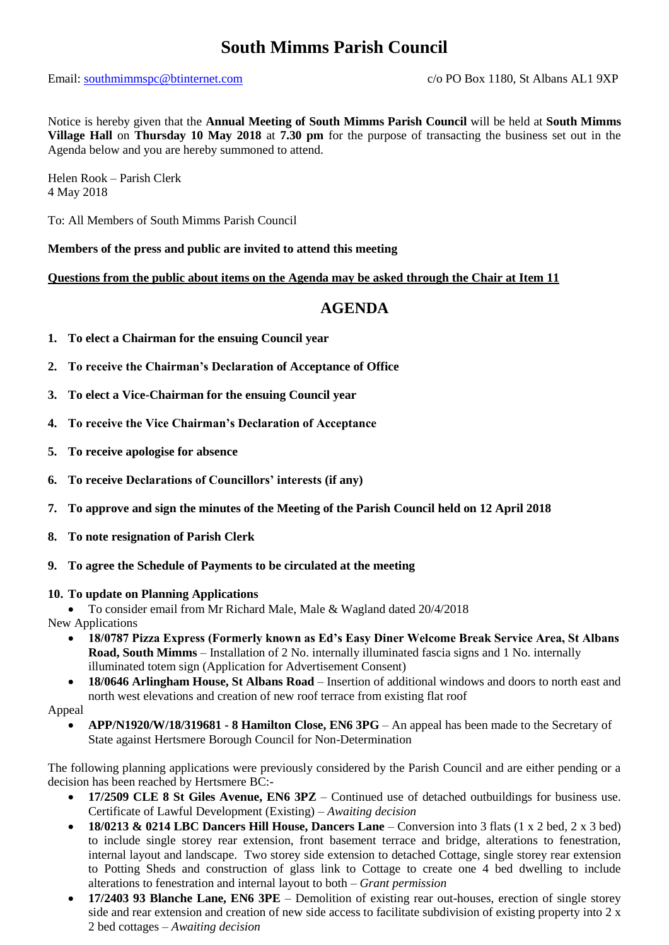# **South Mimms Parish Council**

### Email: [southmimmspc@btinternet.com](mailto:southmimmspc@btinternet.com) c/o PO Box 1180, St Albans AL1 9XP

Notice is hereby given that the **Annual Meeting of South Mimms Parish Council** will be held at **South Mimms Village Hall** on **Thursday 10 May 2018** at **7.30 pm** for the purpose of transacting the business set out in the Agenda below and you are hereby summoned to attend.

Helen Rook – Parish Clerk 4 May 2018

To: All Members of South Mimms Parish Council

**Members of the press and public are invited to attend this meeting**

**Questions from the public about items on the Agenda may be asked through the Chair at Item 11**

# **AGENDA**

- **1. To elect a Chairman for the ensuing Council year**
- **2. To receive the Chairman's Declaration of Acceptance of Office**
- **3. To elect a Vice-Chairman for the ensuing Council year**
- **4. To receive the Vice Chairman's Declaration of Acceptance**
- **5. To receive apologise for absence**
- **6. To receive Declarations of Councillors' interests (if any)**
- **7. To approve and sign the minutes of the Meeting of the Parish Council held on 12 April 2018**
- **8. To note resignation of Parish Clerk**
- **9. To agree the Schedule of Payments to be circulated at the meeting**

#### **10. To update on Planning Applications**

• To consider email from Mr Richard Male, Male & Wagland dated 20/4/2018

New Applications

- **18/0787 Pizza Express (Formerly known as Ed's Easy Diner Welcome Break Service Area, St Albans Road, South Mimms** – Installation of 2 No. internally illuminated fascia signs and 1 No. internally illuminated totem sign (Application for Advertisement Consent)
- **18/0646 Arlingham House, St Albans Road**  Insertion of additional windows and doors to north east and north west elevations and creation of new roof terrace from existing flat roof

Appeal

• **APP/N1920/W/18/319681 - 8 Hamilton Close, EN6 3PG** – An appeal has been made to the Secretary of State against Hertsmere Borough Council for Non-Determination

The following planning applications were previously considered by the Parish Council and are either pending or a decision has been reached by Hertsmere BC:-

- **17/2509 CLE 8 St Giles Avenue, EN6 3PZ** Continued use of detached outbuildings for business use. Certificate of Lawful Development (Existing) – *Awaiting decision*
- **18/0213 & 0214 LBC Dancers Hill House, Dancers Lane** Conversion into 3 flats (1 x 2 bed, 2 x 3 bed) to include single storey rear extension, front basement terrace and bridge, alterations to fenestration, internal layout and landscape. Two storey side extension to detached Cottage, single storey rear extension to Potting Sheds and construction of glass link to Cottage to create one 4 bed dwelling to include alterations to fenestration and internal layout to both – *Grant permission*
- **17/2403 93 Blanche Lane, EN6 3PE** Demolition of existing rear out-houses, erection of single storey side and rear extension and creation of new side access to facilitate subdivision of existing property into 2 x 2 bed cottages – *Awaiting decision*